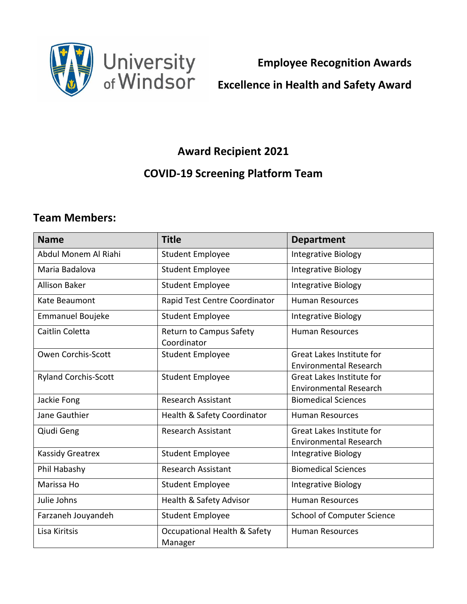

**Employee Recognition Awards**

## **Excellence in Health and Safety Award**

## **Award Recipient 2021**

## **COVID-19 Screening Platform Team**

## **Team Members:**

| <b>Name</b>                 | <b>Title</b>                            | <b>Department</b>                 |
|-----------------------------|-----------------------------------------|-----------------------------------|
| Abdul Monem Al Riahi        | <b>Student Employee</b>                 | Integrative Biology               |
| Maria Badalova              | <b>Student Employee</b>                 | <b>Integrative Biology</b>        |
| <b>Allison Baker</b>        | <b>Student Employee</b>                 | Integrative Biology               |
| Kate Beaumont               | Rapid Test Centre Coordinator           | <b>Human Resources</b>            |
| <b>Emmanuel Boujeke</b>     | <b>Student Employee</b>                 | Integrative Biology               |
| Caitlin Coletta             | Return to Campus Safety<br>Coordinator  | <b>Human Resources</b>            |
| Owen Corchis-Scott          | <b>Student Employee</b>                 | <b>Great Lakes Institute for</b>  |
|                             |                                         | <b>Environmental Research</b>     |
| <b>Ryland Corchis-Scott</b> | <b>Student Employee</b>                 | Great Lakes Institute for         |
|                             |                                         | <b>Environmental Research</b>     |
| Jackie Fong                 | <b>Research Assistant</b>               | <b>Biomedical Sciences</b>        |
| Jane Gauthier               | Health & Safety Coordinator             | <b>Human Resources</b>            |
| Qiudi Geng                  | <b>Research Assistant</b>               | <b>Great Lakes Institute for</b>  |
|                             |                                         | <b>Environmental Research</b>     |
| <b>Kassidy Greatrex</b>     | <b>Student Employee</b>                 | Integrative Biology               |
| Phil Habashy                | <b>Research Assistant</b>               | <b>Biomedical Sciences</b>        |
| Marissa Ho                  | <b>Student Employee</b>                 | Integrative Biology               |
| Julie Johns                 | Health & Safety Advisor                 | <b>Human Resources</b>            |
| Farzaneh Jouyandeh          | <b>Student Employee</b>                 | <b>School of Computer Science</b> |
| Lisa Kiritsis               | Occupational Health & Safety<br>Manager | <b>Human Resources</b>            |